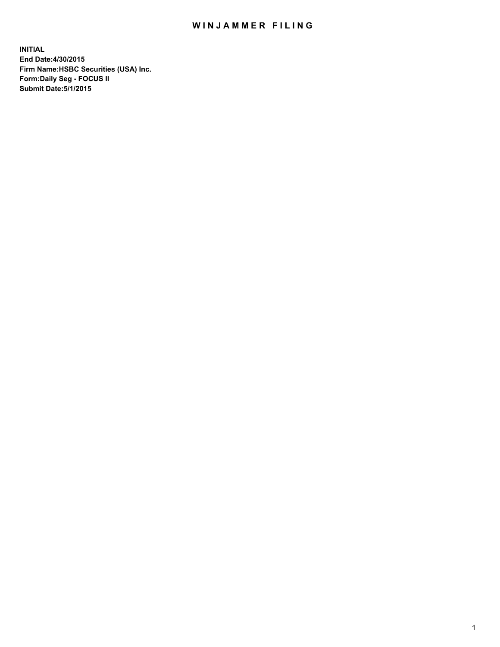## WIN JAMMER FILING

**INITIAL End Date:4/30/2015 Firm Name:HSBC Securities (USA) Inc. Form:Daily Seg - FOCUS II Submit Date:5/1/2015**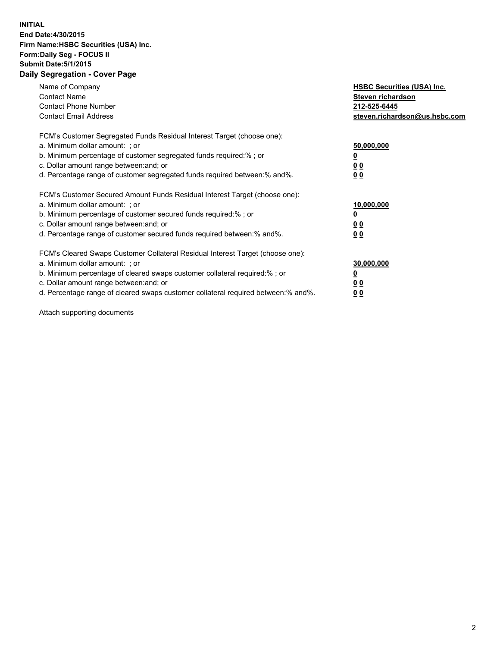## **INITIAL End Date:4/30/2015 Firm Name:HSBC Securities (USA) Inc. Form:Daily Seg - FOCUS II Submit Date:5/1/2015 Daily Segregation - Cover Page**

| Name of Company<br><b>Contact Name</b><br><b>Contact Phone Number</b><br><b>Contact Email Address</b>                                                                                                                                                                                                                         | <b>HSBC Securities (USA) Inc.</b><br>Steven richardson<br>212-525-6445<br>steven.richardson@us.hsbc.com |
|-------------------------------------------------------------------------------------------------------------------------------------------------------------------------------------------------------------------------------------------------------------------------------------------------------------------------------|---------------------------------------------------------------------------------------------------------|
| FCM's Customer Segregated Funds Residual Interest Target (choose one):<br>a. Minimum dollar amount: ; or<br>b. Minimum percentage of customer segregated funds required:%; or<br>c. Dollar amount range between: and; or<br>d. Percentage range of customer segregated funds required between:% and%.                         | 50,000,000<br>00<br>0 <sub>0</sub>                                                                      |
| FCM's Customer Secured Amount Funds Residual Interest Target (choose one):<br>a. Minimum dollar amount: ; or<br>b. Minimum percentage of customer secured funds required:%; or<br>c. Dollar amount range between: and; or<br>d. Percentage range of customer secured funds required between:% and%.                           | 10,000,000<br>0 <sub>0</sub><br>00                                                                      |
| FCM's Cleared Swaps Customer Collateral Residual Interest Target (choose one):<br>a. Minimum dollar amount: ; or<br>b. Minimum percentage of cleared swaps customer collateral required:%; or<br>c. Dollar amount range between: and; or<br>d. Percentage range of cleared swaps customer collateral required between:% and%. | 30,000,000<br><u>00</u><br><u>00</u>                                                                    |

Attach supporting documents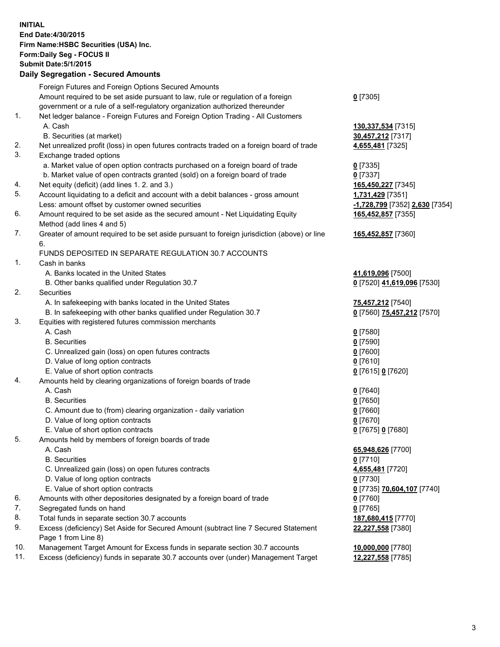**INITIAL End Date:4/30/2015 Firm Name:HSBC Securities (USA) Inc. Form:Daily Seg - FOCUS II Submit Date:5/1/2015 Daily Segregation - Secured Amounts** Foreign Futures and Foreign Options Secured Amounts Amount required to be set aside pursuant to law, rule or regulation of a foreign government or a rule of a self-regulatory organization authorized thereunder **0** [7305] 1. Net ledger balance - Foreign Futures and Foreign Option Trading - All Customers A. Cash **130,337,534** [7315] B. Securities (at market) **30,457,212** [7317] 2. Net unrealized profit (loss) in open futures contracts traded on a foreign board of trade **4,655,481** [7325] 3. Exchange traded options a. Market value of open option contracts purchased on a foreign board of trade **0** [7335] b. Market value of open contracts granted (sold) on a foreign board of trade **0** [7337] 4. Net equity (deficit) (add lines 1. 2. and 3.) **165,450,227** [7345] 5. Account liquidating to a deficit and account with a debit balances - gross amount **1,731,429** [7351] Less: amount offset by customer owned securities **-1,728,799** [7352] **2,630** [7354] 6. Amount required to be set aside as the secured amount - Net Liquidating Equity Method (add lines 4 and 5) **165,452,857** [7355] 7. Greater of amount required to be set aside pursuant to foreign jurisdiction (above) or line 6. **165,452,857** [7360] FUNDS DEPOSITED IN SEPARATE REGULATION 30.7 ACCOUNTS 1. Cash in banks A. Banks located in the United States **41,619,096** [7500] B. Other banks qualified under Regulation 30.7 **0** [7520] **41,619,096** [7530] 2. Securities A. In safekeeping with banks located in the United States **75,457,212** [7540] B. In safekeeping with other banks qualified under Regulation 30.7 **0** [7560] **75,457,212** [7570] 3. Equities with registered futures commission merchants A. Cash **0** [7580] B. Securities **0** [7590] C. Unrealized gain (loss) on open futures contracts **0** [7600] D. Value of long option contracts **0** [7610] E. Value of short option contracts **0** [7615] **0** [7620] 4. Amounts held by clearing organizations of foreign boards of trade A. Cash **0** [7640] B. Securities **0** [7650] C. Amount due to (from) clearing organization - daily variation **0** [7660] D. Value of long option contracts **0** [7670] E. Value of short option contracts **0** [7675] **0** [7680] 5. Amounts held by members of foreign boards of trade A. Cash **65,948,626** [7700] B. Securities **0** [7710] C. Unrealized gain (loss) on open futures contracts **4,655,481** [7720] D. Value of long option contracts **0** [7730] E. Value of short option contracts **0** [7735] **70,604,107** [7740] 6. Amounts with other depositories designated by a foreign board of trade **0** [7760] 7. Segregated funds on hand **0** [7765] 8. Total funds in separate section 30.7 accounts **187,680,415** [7770] 9. Excess (deficiency) Set Aside for Secured Amount (subtract line 7 Secured Statement Page 1 from Line 8) **22,227,558** [7380] 10. Management Target Amount for Excess funds in separate section 30.7 accounts **10,000,000** [7780] 11. Excess (deficiency) funds in separate 30.7 accounts over (under) Management Target **12,227,558** [7785]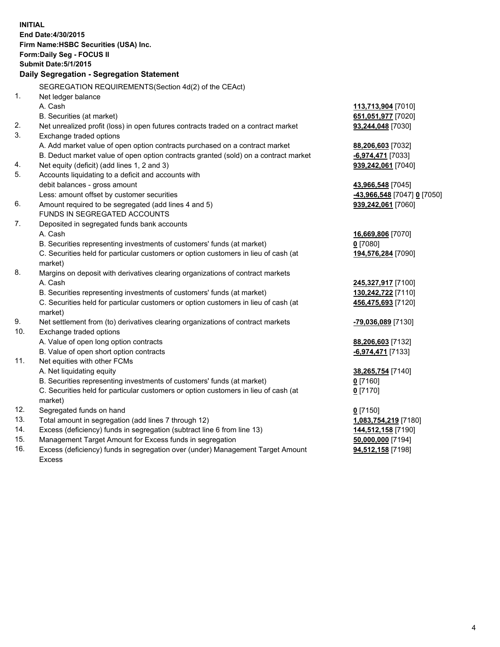| <b>INITIAL</b> | End Date: 4/30/2015<br>Firm Name: HSBC Securities (USA) Inc.<br>Form: Daily Seg - FOCUS II<br><b>Submit Date: 5/1/2015</b><br>Daily Segregation - Segregation Statement |                             |
|----------------|-------------------------------------------------------------------------------------------------------------------------------------------------------------------------|-----------------------------|
|                | SEGREGATION REQUIREMENTS(Section 4d(2) of the CEAct)                                                                                                                    |                             |
| 1.             | Net ledger balance                                                                                                                                                      |                             |
|                | A. Cash                                                                                                                                                                 | 113,713,904 [7010]          |
|                | B. Securities (at market)                                                                                                                                               | 651,051,977 [7020]          |
| 2.             | Net unrealized profit (loss) in open futures contracts traded on a contract market                                                                                      | 93,244,048 [7030]           |
| 3.             | Exchange traded options                                                                                                                                                 |                             |
|                | A. Add market value of open option contracts purchased on a contract market                                                                                             | 88,206,603 [7032]           |
|                | B. Deduct market value of open option contracts granted (sold) on a contract market                                                                                     | <b>6,974,471</b> [7033]     |
| 4.<br>5.       | Net equity (deficit) (add lines 1, 2 and 3)<br>Accounts liquidating to a deficit and accounts with                                                                      | 939,242,061 [7040]          |
|                | debit balances - gross amount                                                                                                                                           | 43,966,548 [7045]           |
|                | Less: amount offset by customer securities                                                                                                                              | -43,966,548 [7047] 0 [7050] |
| 6.             | Amount required to be segregated (add lines 4 and 5)                                                                                                                    | 939,242,061 [7060]          |
|                | FUNDS IN SEGREGATED ACCOUNTS                                                                                                                                            |                             |
| 7.             | Deposited in segregated funds bank accounts                                                                                                                             |                             |
|                | A. Cash                                                                                                                                                                 | 16,669,806 [7070]           |
|                | B. Securities representing investments of customers' funds (at market)                                                                                                  | $0$ [7080]                  |
|                | C. Securities held for particular customers or option customers in lieu of cash (at                                                                                     | 194,576,284 [7090]          |
|                | market)                                                                                                                                                                 |                             |
| 8.             | Margins on deposit with derivatives clearing organizations of contract markets                                                                                          |                             |
|                | A. Cash                                                                                                                                                                 | 245,327,917 [7100]          |
|                | B. Securities representing investments of customers' funds (at market)                                                                                                  | 130,242,722 [7110]          |
|                | C. Securities held for particular customers or option customers in lieu of cash (at                                                                                     | 456,475,693 [7120]          |
|                | market)                                                                                                                                                                 |                             |
| 9.             | Net settlement from (to) derivatives clearing organizations of contract markets                                                                                         | -79,036,089 [7130]          |
| 10.            | Exchange traded options                                                                                                                                                 |                             |
|                | A. Value of open long option contracts                                                                                                                                  | 88,206,603 [7132]           |
|                | B. Value of open short option contracts                                                                                                                                 | -6,974,471 [7133]           |
| 11.            | Net equities with other FCMs                                                                                                                                            |                             |
|                | A. Net liquidating equity                                                                                                                                               | 38,265,754 [7140]           |
|                | B. Securities representing investments of customers' funds (at market)                                                                                                  | 0 [7160]                    |
|                | C. Securities held for particular customers or option customers in lieu of cash (at                                                                                     | $0$ [7170]                  |
|                | market)                                                                                                                                                                 |                             |
| 12.            | Segregated funds on hand                                                                                                                                                | $0$ [7150]                  |
| 13.            | Total amount in segregation (add lines 7 through 12)                                                                                                                    | 1,083,754,219 [7180]        |
| 14.            | Excess (deficiency) funds in segregation (subtract line 6 from line 13)                                                                                                 | 144,512,158 [7190]          |
| 15.            | Management Target Amount for Excess funds in segregation                                                                                                                | 50,000,000 [7194]           |
| 16.            | Excess (deficiency) funds in segregation over (under) Management Target Amount<br><b>Excess</b>                                                                         | 94,512,158 [7198]           |